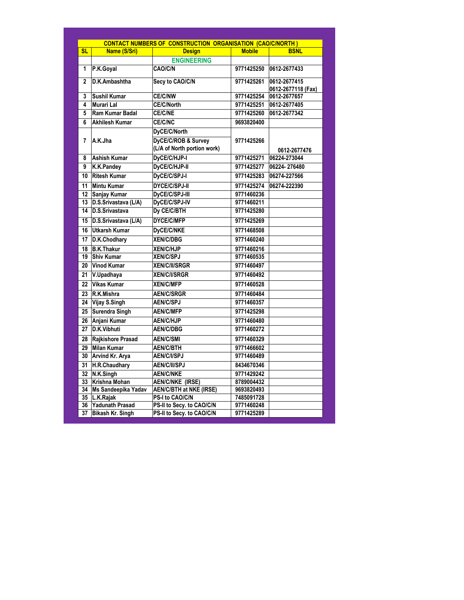| <b>SL</b>      | Name (S/Sri)            | CONTACT NUMBERS OF CONSTRUCTION ORGANISATION (CAO/C/NORTH)<br><b>Design</b> | <b>Mobile</b> | <b>BSNL</b>        |
|----------------|-------------------------|-----------------------------------------------------------------------------|---------------|--------------------|
|                |                         | <b>ENGINEERING</b>                                                          |               |                    |
| 1              | P.K.Goyal               | CAO/C/N                                                                     | 9771425250    | 0612-2677433       |
| $\overline{2}$ | D.K.Ambashtha           | Secy to CAO/C/N                                                             | 9771425261    | 0612-2677415       |
|                |                         |                                                                             |               | 0612-2677118 (Fax) |
| 3              | <b>Sushil Kumar</b>     | <b>CE/C/NW</b>                                                              | 9771425254    | 0612-2677657       |
| 4              | Murari Lal              | CE/C/North                                                                  | 9771425251    | 0612-2677405       |
| 5              | Ram Kumar Badal         | CE/C/NE                                                                     | 9771425260    | 0612-2677342       |
| 6              | <b>Akhilesh Kumar</b>   | CE/C/NC                                                                     | 9693820400    |                    |
|                |                         | DyCE/C/North                                                                |               |                    |
| $\overline{7}$ | A.K.Jha                 | DyCE/C/ROB & Survey                                                         | 9771425266    |                    |
|                |                         | (L/A of North portion work)                                                 |               | 0612-2677476       |
| 8              | <b>Ashish Kumar</b>     | DyCE/C/HJP-I                                                                | 9771425271    | 06224-273044       |
| 9              | K.K.Pandey              | DyCE/C/HJP-II                                                               | 9771425277    | 06224-276480       |
| 10             | <b>Ritesh Kumar</b>     | DyCE/C/SPJ-I                                                                | 9771425283    | 06274-227566       |
| 11             | <b>Mintu Kumar</b>      | DYCE/C/SPJ-II                                                               | 9771425274    | 06274-222390       |
| 12             | <b>Sanjay Kumar</b>     | DyCE/C/SPJ-III                                                              | 9771460236    |                    |
| 13             | D.S.Srivastava (L/A)    | DyCE/C/SPJ-IV                                                               | 9771460211    |                    |
| 14             | D.S.Srivastava          | Dy CE/C/BTH                                                                 | 9771425280    |                    |
| 15             | D.S.Srivastava (L/A)    | DYCE/C/MFP                                                                  | 9771425269    |                    |
| 16             | <b>Utkarsh Kumar</b>    | DyCE/C/NKE                                                                  | 9771468508    |                    |
| 17             | D.K.Chodhary            | <b>XEN/C/DBG</b>                                                            | 9771460240    |                    |
| 18             | <b>B.K.Thakur</b>       | <b>XEN/C/HJP</b>                                                            | 9771460216    |                    |
| 19             | <b>Shiv Kumar</b>       | <b>XEN/C/SPJ</b>                                                            | 9771460535    |                    |
| 20             | <b>Vinod Kumar</b>      | <b>XEN/C/II/SRGR</b>                                                        | 9771460497    |                    |
| 21             | V.Upadhaya              | <b>XEN/C/I/SRGR</b>                                                         | 9771460492    |                    |
| 22             | Vikas Kumar             | <b>XEN/C/MFP</b>                                                            | 9771460528    |                    |
| 23             | R.K.Mishra              | <b>AEN/C/SRGR</b>                                                           | 9771460484    |                    |
| 24             | Vijay S.Singh           | <b>AEN/C/SPJ</b>                                                            | 9771460357    |                    |
| 25             | <b>Surendra Singh</b>   | <b>AEN/C/MFP</b>                                                            | 9771425298    |                    |
| 26             | Anjani Kumar            | <b>AEN/C/HJP</b>                                                            | 9771460480    |                    |
| 27             | D.K.Vibhuti             | <b>AEN/C/DBG</b>                                                            | 9771460272    |                    |
| 28             | Raikishore Prasad       | <b>AEN/C/SMI</b>                                                            | 9771460329    |                    |
| 29             | <b>Milan Kumar</b>      | <b>AEN/C/BTH</b>                                                            | 9771466602    |                    |
| 30             | Arvind Kr. Arva         | <b>AEN/C/I/SPJ</b>                                                          | 9771460489    |                    |
| 31             | H.R.Chaudhary           | <b>AEN/C/II/SPJ</b>                                                         | 8434670346    |                    |
| 32             | N.K.Singh               | <b>AEN/C/NKE</b>                                                            | 9771429242    |                    |
| 33             | Krishna Mohan           | <b>AEN/C/NKE (IRSE)</b>                                                     | 8789004432    |                    |
| 34             | Ms Sandeepika Yadav     | <b>AEN/C/BTH at NKE (IRSE)</b>                                              | 9693820493    |                    |
|                | 35 L.K.Rajak            | PS-I to CAO/C/N                                                             | 7485091728    |                    |
| 36             | Yadunath Prasad         | PS-II to Secv. to CAO/C/N                                                   | 9771460248    |                    |
| 37             | <b>Bikash Kr. Singh</b> | PS-II to Secy. to CAO/C/N                                                   | 9771425289    |                    |